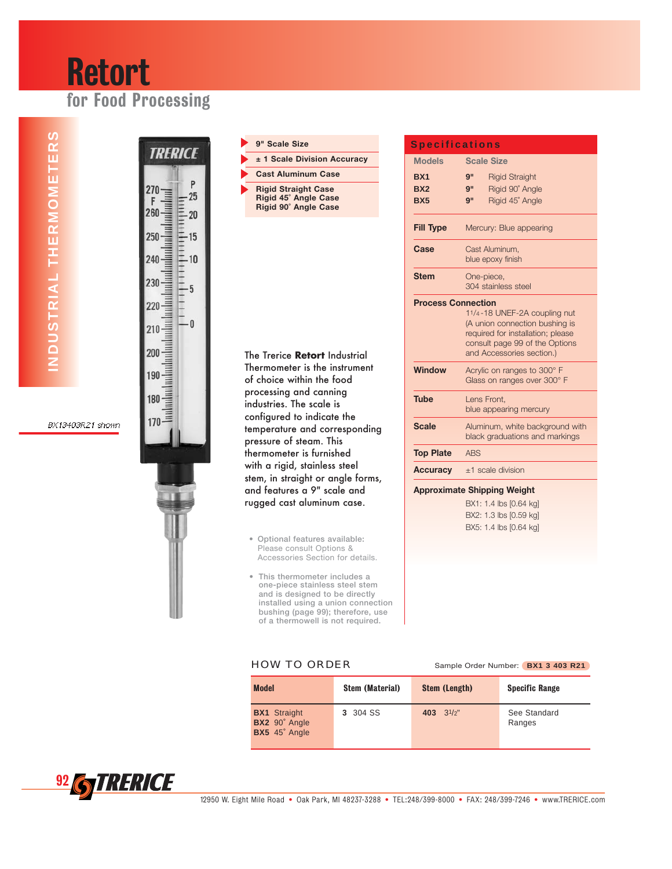# Retort for Food Processing

TRERICE

 $\mathsf{P}$ 



## **9" Scale Size**

**± 1 Scale Division Accuracy** 

**Rigid Straight Case Rigid 45˚ Angle Case Rigid 90˚ Angle Case**

**Cast Aluminum Case**

The Trerice **Retort** Industrial Thermometer is the instrument of choice within the food processing and canning industries. The scale is configured to indicate the temperature and corresponding pressure of steam. This thermometer is furnished with a rigid, stainless steel stem, in straight or angle forms, and features a 9" scale and rugged cast aluminum case.

- **Optional features available:** Please consult Options & Accessories Section for details.
- **This thermometer includes a one-piece stainless steel stem and is designed to be directly installed using a union connection bushing (page 99); therefore, use of a thermowell is not required.**

| <b>Specifications</b>              |                                                                                                                                                                    |  |  |  |  |
|------------------------------------|--------------------------------------------------------------------------------------------------------------------------------------------------------------------|--|--|--|--|
| <b>Models</b>                      | <b>Scale Size</b>                                                                                                                                                  |  |  |  |  |
| BX1                                | 9"<br><b>Rigid Straight</b>                                                                                                                                        |  |  |  |  |
| BX <sub>2</sub>                    | Rigid 90° Angle<br>g"                                                                                                                                              |  |  |  |  |
| <b>BX5</b>                         | Rigid 45° Angle<br>9"                                                                                                                                              |  |  |  |  |
| <b>Fill Type</b>                   | Mercury: Blue appearing                                                                                                                                            |  |  |  |  |
| Case                               | Cast Aluminum.<br>blue epoxy finish                                                                                                                                |  |  |  |  |
| <b>Stem</b>                        | One-piece,<br>304 stainless steel                                                                                                                                  |  |  |  |  |
| <b>Process Connection</b>          | 11/4-18 UNEF-2A coupling nut<br>(A union connection bushing is<br>required for installation; please<br>consult page 99 of the Options<br>and Accessories section.) |  |  |  |  |
| <b>Window</b>                      | Acrylic on ranges to 300° F<br>Glass on ranges over 300° F                                                                                                         |  |  |  |  |
| <b>Tube</b>                        | Lens Front,<br>blue appearing mercury                                                                                                                              |  |  |  |  |
| <b>Scale</b>                       | Aluminum, white background with<br>black graduations and markings                                                                                                  |  |  |  |  |
| <b>Top Plate</b>                   | <b>ABS</b>                                                                                                                                                         |  |  |  |  |
| <b>Accuracy</b>                    | $±1$ scale division                                                                                                                                                |  |  |  |  |
| <b>Approximate Shipping Weight</b> |                                                                                                                                                                    |  |  |  |  |
|                                    | BX1: 1.4 lbs [0.64 kg]                                                                                                                                             |  |  |  |  |
|                                    | BX2: 1.3 lbs [0.59 kg]                                                                                                                                             |  |  |  |  |
|                                    | BX5: 1.4 lbs [0.64 kg]                                                                                                                                             |  |  |  |  |

**HOW TO ORDER** Sample Order Number: **BX1 3 403 R21** 

| <b>Model</b>                                          | <b>Stem (Material)</b> | <b>Stem (Length)</b> | <b>Specific Range</b>  |
|-------------------------------------------------------|------------------------|----------------------|------------------------|
| <b>BX1</b> Straight<br>BX2 90° Angle<br>BX5 45° Angle | 3 304 SS               | 403 $3^{1/2}$ "      | See Standard<br>Ranges |